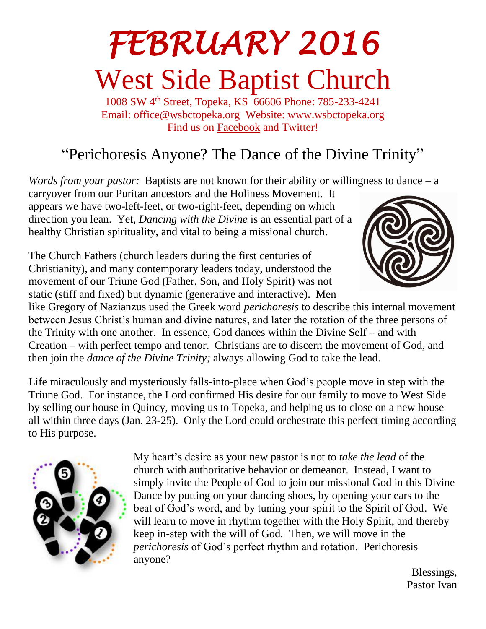# *FEBRUARY 2016*  West Side Baptist Church

1008 SW 4th Street, Topeka, KS 66606 Phone: 785-233-4241 Email: [office@wsbctopeka.org](mailto:office@wsbctopeka.org) Website: [www.wsbctopeka.org](http://www.wsbctopeka.org/)  Find us on [Facebook](https://www.facebook.com/West-Side-Baptist-Church-of-Topeka-Kansas-152190384801974/) and Twitter!

## "Perichoresis Anyone? The Dance of the Divine Trinity"

*Words from your pastor:* Baptists are not known for their ability or willingness to dance – a

carryover from our Puritan ancestors and the Holiness Movement. It appears we have two-left-feet, or two-right-feet, depending on which direction you lean. Yet, *Dancing with the Divine* is an essential part of a healthy Christian spirituality, and vital to being a missional church.

The Church Fathers (church leaders during the first centuries of Christianity), and many contemporary leaders today, understood the movement of our Triune God (Father, Son, and Holy Spirit) was not static (stiff and fixed) but dynamic (generative and interactive). Men



like Gregory of Nazianzus used the Greek word *perichoresis* to describe this internal movement between Jesus Christ's human and divine natures, and later the rotation of the three persons of the Trinity with one another. In essence, God dances within the Divine Self – and with Creation – with perfect tempo and tenor. Christians are to discern the movement of God, and then join the *dance of the Divine Trinity;* always allowing God to take the lead.

Life miraculously and mysteriously falls-into-place when God's people move in step with the Triune God. For instance, the Lord confirmed His desire for our family to move to West Side by selling our house in Quincy, moving us to Topeka, and helping us to close on a new house all within three days (Jan. 23-25). Only the Lord could orchestrate this perfect timing according to His purpose.



My heart's desire as your new pastor is not to *take the lead* of the church with authoritative behavior or demeanor. Instead, I want to simply invite the People of God to join our missional God in this Divine Dance by putting on your dancing shoes, by opening your ears to the beat of God's word, and by tuning your spirit to the Spirit of God. We will learn to move in rhythm together with the Holy Spirit, and thereby keep in-step with the will of God. Then, we will move in the *perichoresis* of God's perfect rhythm and rotation. Perichoresis anyone?

Blessings, Pastor Ivan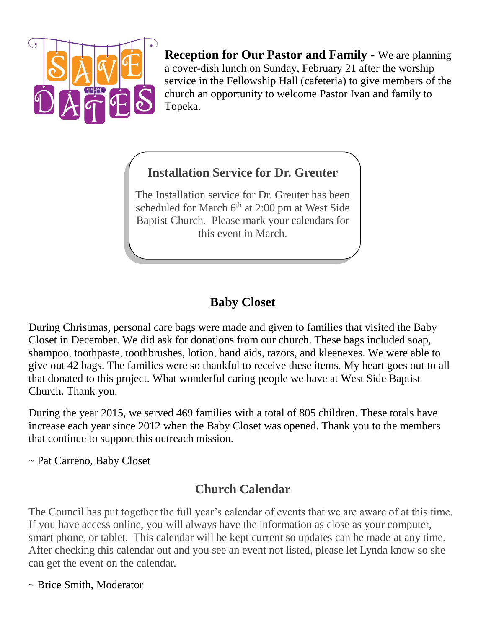

**Reception for Our Pastor and Family -** We are planning a cover-dish lunch on Sunday, February 21 after the worship service in the Fellowship Hall (cafeteria) to give members of the church an opportunity to welcome Pastor Ivan and family to Topeka.

#### **Installation Service for Dr. Greuter**

The Installation service for Dr. Greuter has been scheduled for March 6<sup>th</sup> at 2:00 pm at West Side Baptist Church. Please mark your calendars for this event in March.

### **Baby Closet**

During Christmas, personal care bags were made and given to families that visited the Baby Closet in December. We did ask for donations from our church. These bags included soap, shampoo, toothpaste, toothbrushes, lotion, band aids, razors, and kleenexes. We were able to give out 42 bags. The families were so thankful to receive these items. My heart goes out to all that donated to this project. What wonderful caring people we have at West Side Baptist Church. Thank you.

During the year 2015, we served 469 families with a total of 805 children. These totals have increase each year since 2012 when the Baby Closet was opened. Thank you to the members that continue to support this outreach mission.

~ Pat Carreno, Baby Closet

### **Church Calendar**

The Council has put together the full year's calendar of events that we are aware of at this time. If you have access online, you will always have the information as close as your computer, smart phone, or tablet. This calendar will be kept current so updates can be made at any time. After checking this calendar out and you see an event not listed, please let Lynda know so she can get the event on the calendar.

~ Brice Smith, Moderator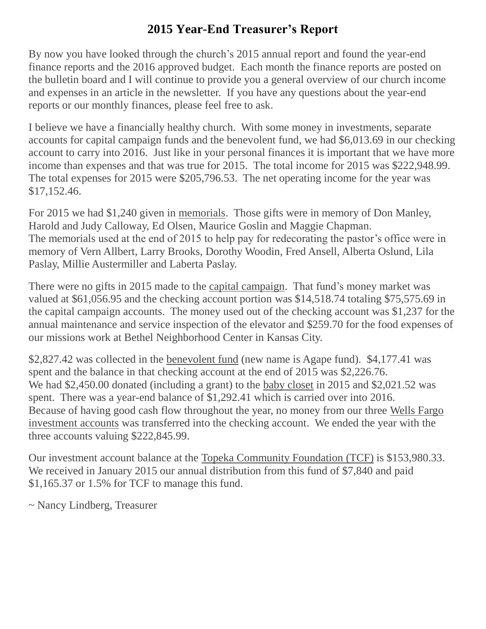#### **2015 Year-End Treasurer's Report**

By now you have looked through the church's 2015 annual report and found the year-end finance reports and the 2016 approved budget. Each month the finance reports are posted on the bulletin board and I will continue to provide you a general overview of our church income and expenses in an article in the newsletter. If you have any questions about the year-end reports or our monthly finances, please feel free to ask.

I believe we have a financially healthy church. With some money in investments, separate accounts for capital campaign funds and the benevolent fund, we had \$6,013.69 in our checking account to carry into 2016. Just like in your personal finances it is important that we have more income than expenses and that was true for 2015. The total income for 2015 was \$222,948.99. The total expenses for 2015 were \$205,796.53. The net operating income for the year was \$17,152.46.

For 2015 we had \$1,240 given in memorials. Those gifts were in memory of Don Manley, Harold and Judy Calloway, Ed Olsen, Maurice Goslin and Maggie Chapman. The memorials used at the end of 2015 to help pay for redecorating the pastor's office were in memory of Vern Allbert, Larry Brooks, Dorothy Woodin, Fred Ansell, Alberta Oslund, Lila Paslay, Millie Austermiller and Laberta Paslay.

There were no gifts in 2015 made to the capital campaign. That fund's money market was valued at \$61,056.95 and the checking account portion was \$14,518.74 totaling \$75,575.69 in the capital campaign accounts. The money used out of the checking account was \$1,237 for the annual maintenance and service inspection of the elevator and \$259.70 for the food expenses of our missions work at Bethel Neighborhood Center in Kansas City.

\$2,827.42 was collected in the benevolent fund (new name is Agape fund). \$4,177.41 was spent and the balance in that checking account at the end of 2015 was \$2,226.76. We had \$2,450.00 donated (including a grant) to the baby closet in 2015 and \$2,021.52 was spent. There was a year-end balance of \$1,292.41 which is carried over into 2016. Because of having good cash flow throughout the year, no money from our three Wells Fargo investment accounts was transferred into the checking account. We ended the year with the three accounts valuing \$222,845.99.

Our investment account balance at the Topeka Community Foundation (TCF) is \$153,980.33. We received in January 2015 our annual distribution from this fund of \$7,840 and paid \$1,165.37 or 1.5% for TCF to manage this fund.

~ Nancy Lindberg, Treasurer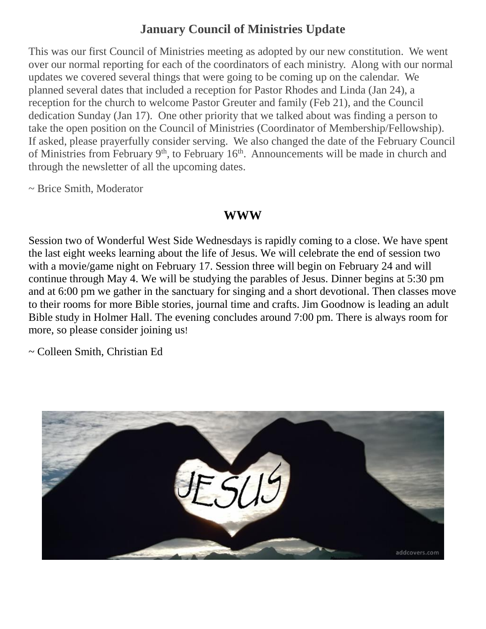#### **January Council of Ministries Update**

This was our first Council of Ministries meeting as adopted by our new constitution. We went over our normal reporting for each of the coordinators of each ministry. Along with our normal updates we covered several things that were going to be coming up on the calendar. We planned several dates that included a reception for Pastor Rhodes and Linda (Jan 24), a reception for the church to welcome Pastor Greuter and family (Feb 21), and the Council dedication Sunday (Jan 17). One other priority that we talked about was finding a person to take the open position on the Council of Ministries (Coordinator of Membership/Fellowship). If asked, please prayerfully consider serving. We also changed the date of the February Council of Ministries from February  $9<sup>th</sup>$ , to February 16<sup>th</sup>. Announcements will be made in church and through the newsletter of all the upcoming dates.

~ Brice Smith, Moderator

#### **WWW**

Session two of Wonderful West Side Wednesdays is rapidly coming to a close. We have spent the last eight weeks learning about the life of Jesus. We will celebrate the end of session two with a movie/game night on February 17. Session three will begin on February 24 and will continue through May 4. We will be studying the parables of Jesus. Dinner begins at 5:30 pm and at 6:00 pm we gather in the sanctuary for singing and a short devotional. Then classes move to their rooms for more Bible stories, journal time and crafts. Jim Goodnow is leading an adult Bible study in Holmer Hall. The evening concludes around 7:00 pm. There is always room for more, so please consider joining us!

~ Colleen Smith, Christian Ed

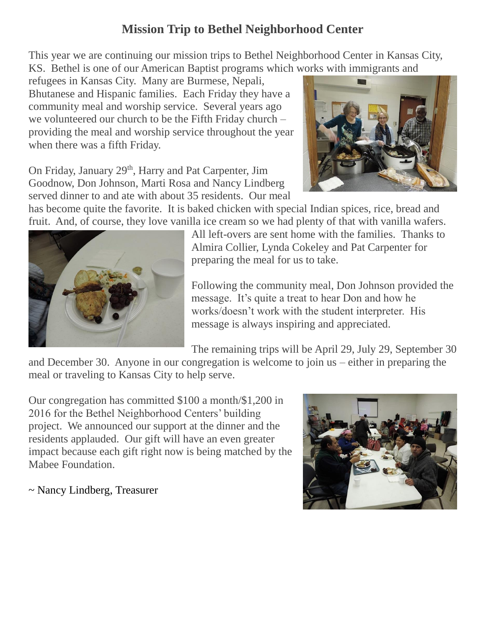#### **Mission Trip to Bethel Neighborhood Center**

This year we are continuing our mission trips to Bethel Neighborhood Center in Kansas City, KS. Bethel is one of our American Baptist programs which works with immigrants and

refugees in Kansas City. Many are Burmese, Nepali, Bhutanese and Hispanic families. Each Friday they have a community meal and worship service. Several years ago we volunteered our church to be the Fifth Friday church – providing the meal and worship service throughout the year when there was a fifth Friday.

On Friday, January 29<sup>th</sup>, Harry and Pat Carpenter, Jim Goodnow, Don Johnson, Marti Rosa and Nancy Lindberg served dinner to and ate with about 35 residents. Our meal



has become quite the favorite. It is baked chicken with special Indian spices, rice, bread and fruit. And, of course, they love vanilla ice cream so we had plenty of that with vanilla wafers.



All left-overs are sent home with the families. Thanks to Almira Collier, Lynda Cokeley and Pat Carpenter for preparing the meal for us to take.

Following the community meal, Don Johnson provided the message. It's quite a treat to hear Don and how he works/doesn't work with the student interpreter. His message is always inspiring and appreciated.

The remaining trips will be April 29, July 29, September 30

and December 30. Anyone in our congregation is welcome to join us – either in preparing the meal or traveling to Kansas City to help serve.

Our congregation has committed \$100 a month/\$1,200 in 2016 for the Bethel Neighborhood Centers' building project. We announced our support at the dinner and the residents applauded. Our gift will have an even greater impact because each gift right now is being matched by the Mabee Foundation.

~ Nancy Lindberg, Treasurer

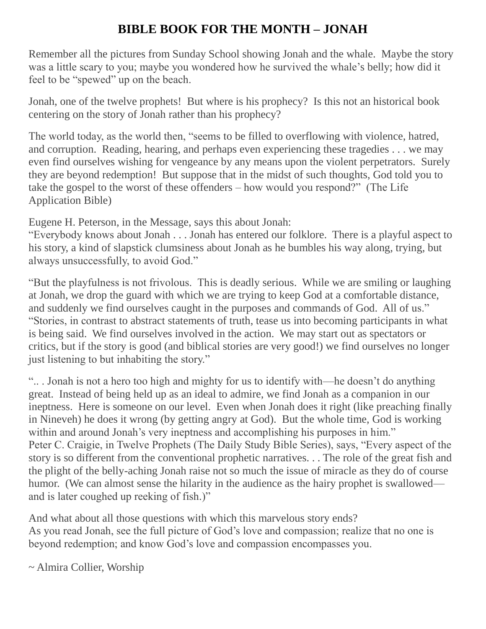#### **BIBLE BOOK FOR THE MONTH – JONAH**

Remember all the pictures from Sunday School showing Jonah and the whale. Maybe the story was a little scary to you; maybe you wondered how he survived the whale's belly; how did it feel to be "spewed" up on the beach.

Jonah, one of the twelve prophets! But where is his prophecy? Is this not an historical book centering on the story of Jonah rather than his prophecy?

The world today, as the world then, "seems to be filled to overflowing with violence, hatred, and corruption. Reading, hearing, and perhaps even experiencing these tragedies . . . we may even find ourselves wishing for vengeance by any means upon the violent perpetrators. Surely they are beyond redemption! But suppose that in the midst of such thoughts, God told you to take the gospel to the worst of these offenders – how would you respond?" (The Life Application Bible)

Eugene H. Peterson, in the Message, says this about Jonah:

"Everybody knows about Jonah . . . Jonah has entered our folklore. There is a playful aspect to his story, a kind of slapstick clumsiness about Jonah as he bumbles his way along, trying, but always unsuccessfully, to avoid God."

"But the playfulness is not frivolous. This is deadly serious. While we are smiling or laughing at Jonah, we drop the guard with which we are trying to keep God at a comfortable distance, and suddenly we find ourselves caught in the purposes and commands of God. All of us." "Stories, in contrast to abstract statements of truth, tease us into becoming participants in what is being said. We find ourselves involved in the action. We may start out as spectators or critics, but if the story is good (and biblical stories are very good!) we find ourselves no longer just listening to but inhabiting the story."

".. . Jonah is not a hero too high and mighty for us to identify with—he doesn't do anything great. Instead of being held up as an ideal to admire, we find Jonah as a companion in our ineptness. Here is someone on our level. Even when Jonah does it right (like preaching finally in Nineveh) he does it wrong (by getting angry at God). But the whole time, God is working within and around Jonah's very ineptness and accomplishing his purposes in him." Peter C. Craigie, in Twelve Prophets (The Daily Study Bible Series), says, "Every aspect of the story is so different from the conventional prophetic narratives. . . The role of the great fish and the plight of the belly-aching Jonah raise not so much the issue of miracle as they do of course humor. (We can almost sense the hilarity in the audience as the hairy prophet is swallowed and is later coughed up reeking of fish.)"

And what about all those questions with which this marvelous story ends? As you read Jonah, see the full picture of God's love and compassion; realize that no one is beyond redemption; and know God's love and compassion encompasses you.

~ Almira Collier, Worship